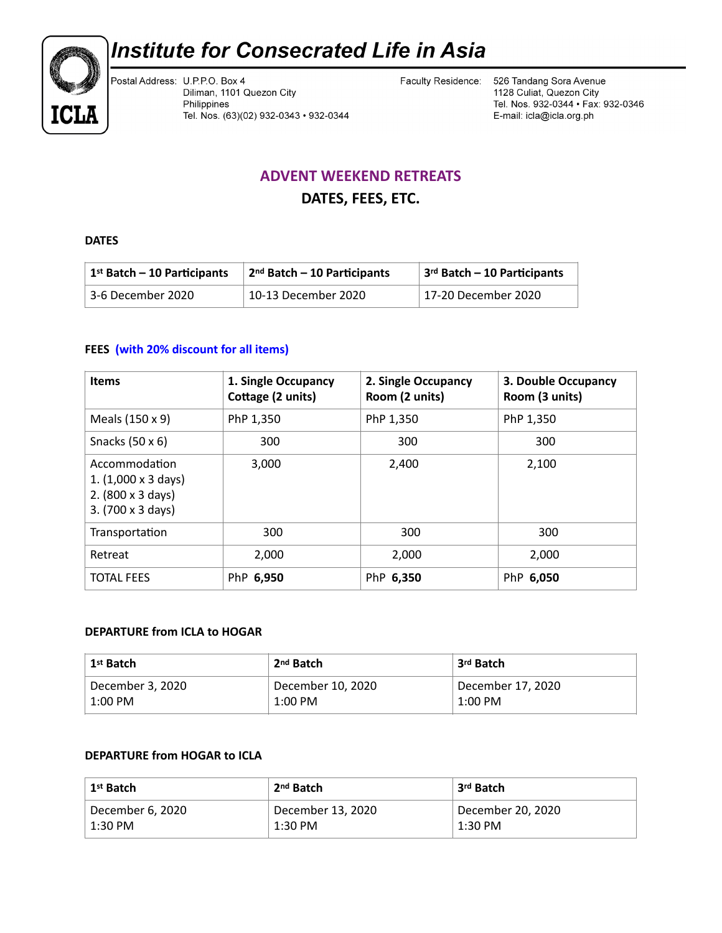# **Institute for Consecrated Life in Asia**



Postal Address: U.P.P.O. Box 4 Diliman, 1101 Quezon City Philippines Tel. Nos. (63)(02) 932-0343 • 932-0344

Faculty Residence: 526 Tandang Sora Avenue 1128 Culiat, Quezon City Tel. Nos. 932-0344 · Fax: 932-0346 E-mail: icla@icla.org.ph

### **ADVENT WEEKEND RETREATS**

### **DATES, FEES, ETC.**

**DATES** 

| $1$ <sup>st</sup> Batch – 10 Participants | $2nd$ Batch - 10 Participants | $3rd$ Batch - 10 Participants |
|-------------------------------------------|-------------------------------|-------------------------------|
| 3-6 December 2020                         | 10-13 December 2020           | 17-20 December 2020           |

#### **FEES (with 20% discount for all items)**

| <b>Items</b>                                                                                  | 1. Single Occupancy<br>Cottage (2 units) | 2. Single Occupancy<br>Room (2 units) | 3. Double Occupancy<br>Room (3 units) |
|-----------------------------------------------------------------------------------------------|------------------------------------------|---------------------------------------|---------------------------------------|
| Meals (150 x 9)                                                                               | PhP 1,350                                | PhP 1,350                             | PhP 1,350                             |
| Snacks (50 x 6)                                                                               | 300                                      | 300                                   | 300                                   |
| Accommodation<br>1. $(1,000 \times 3 \text{ days})$<br>2. (800 x 3 days)<br>3. (700 x 3 days) | 3,000                                    | 2,400                                 | 2,100                                 |
| Transportation                                                                                | 300                                      | 300                                   | 300                                   |
| Retreat                                                                                       | 2,000                                    | 2,000                                 | 2,000                                 |
| <b>TOTAL FEES</b>                                                                             | PhP 6,950                                | PhP 6,350                             | PhP 6,050                             |

#### **DEPARTURE from ICLA to HOGAR**

| 1st Batch        | 2 <sup>nd</sup> Batch | 3rd Batch         |
|------------------|-----------------------|-------------------|
| December 3, 2020 | December 10, 2020     | December 17, 2020 |
| $1:00$ PM        | $1:00$ PM             | $1:00$ PM         |

#### **DEPARTURE from HOGAR to ICLA**

| 1 <sup>st</sup> Batch | 2 <sup>nd</sup> Batch | 3rd Batch         |
|-----------------------|-----------------------|-------------------|
| December 6, 2020      | December 13, 2020     | December 20, 2020 |
| 1:30 PM               | $1:30$ PM             | 1:30 PM           |